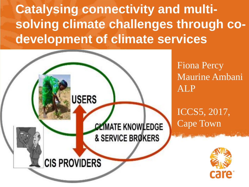**Catalysing connectivity and multisolving climate challenges through codevelopment of climate services**



Fiona Percy Maurine Ambani ALP

ICCS5, 2017, Cape Town

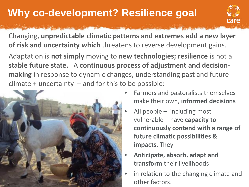## **Why co-development? Resilience goal**



Changing, **unpredictable climatic patterns and extremes add a new layer of risk and uncertainty which** threatens to reverse development gains.

Adaptation is **not simply** moving to **new technologies; resilience** is not a **stable future state.** A **continuous process of adjustment and decisionmaking** in response to dynamic changes, understanding past and future  $climate + uncertainty - and for this to be possible:$ 



- Farmers and pastoralists themselves make their own, **informed decisions**
- All people including most vulnerable – have **capacity to continuously contend with a range of future climatic possibilities & impacts.** They
- **Anticipate, absorb, adapt and transform** their livelihoods
- in relation to the changing climate and other factors.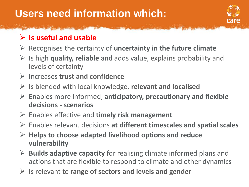## **Users need information which:**



#### **Is useful and usable**

- Recognises the certainty of **uncertainty in the future climate**
- Is high **quality, reliable** and adds value, explains probability and levels of certainty
- Increases **trust and confidence**
- Is blended with local knowledge, **relevant and localised**
- Enables more informed, **anticipatory, precautionary and flexible decisions - scenarios**
- Enables effective and **timely risk management**
- Enables relevant decisions **at different timescales and spatial scales**
- **Helps to choose adapted livelihood options and reduce vulnerability**
- **Builds adaptive capacity** for realising climate informed plans and actions that are flexible to respond to climate and other dynamics
- Is relevant to **range of sectors and levels and gender**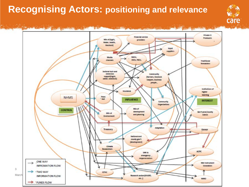### **Recognising Actors: positioning and relevance**



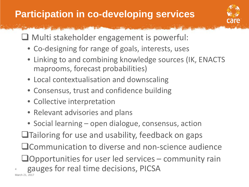## **Participation in co-developing services**



□ Multi stakeholder engagement is powerful:

- Co-designing for range of goals, interests, uses
- Linking to and combining knowledge sources (IK, ENACTS maprooms, forecast probabilities)
- Local contextualisation and downscaling
- Consensus, trust and confidence building
- Collective interpretation

4

- Relevant advisories and plans
- Social learning open dialogue, consensus, action  $\Box$ Tailoring for use and usability, feedback on gaps **QCommunication to diverse and non-science audience**  $\Box$ Opportunities for user led services – community rain gauges for real time decisions, PICSA March 21, 2017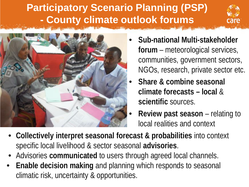## **Participatory Scenario Planning (PSP) - County climate outlook forums**





- **Sub-national Multi-stakeholder forum** – meteorological services, communities, government sectors, NGOs, research, private sector etc.
- **Share & combine seasonal climate forecasts – local** & **scientific** sources.
- **Review past season**  relating to local realities and context
- **Collectively interpret seasonal forecast & probabilities** into context specific local livelihood & sector seasonal **advisories**.
- Advisories **communicated** to users through agreed local channels.
- **Enable decision making** and planning which responds to seasonal climatic risk, uncertainty & opportunities.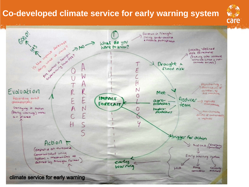### **Co-developed climate service for early warning system**

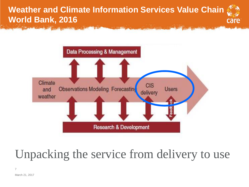#### **Weather and Climate Information Services Value Chain World Bank, 2016**





# Unpacking the service from delivery to use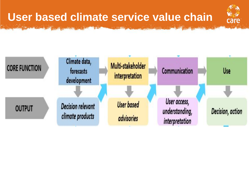## **User based climate service value chain**



不与

care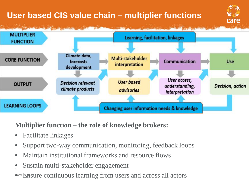#### **User based CIS value chain – multiplier functions**





#### **Multiplier function – the role of knowledge brokers:**

- Facilitate linkages
- Support two-way communication, monitoring, feedback loops
- Maintain institutional frameworks and resource flows
- 9 • Sustain multi-stakeholder engagement

**Warch Emergine continuous learning from users and across all actors**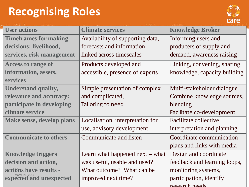## **Recognising Roles**

![](_page_10_Picture_1.jpeg)

| <b>User actions</b>          | <b>Climate services</b>          | <b>Knowledge Broker</b>      |
|------------------------------|----------------------------------|------------------------------|
| <b>Timeframes for making</b> | Availability of supporting data, | Informing users and          |
| decisions: livelihood,       | forecasts and information        | producers of supply and      |
| services, risk management    | linked across timescales         | demand, awareness raising    |
| <b>Access to range of</b>    | Products developed and           | Linking, convening, sharing  |
| information, assets,         | accessible, presence of experts  | knowledge, capacity building |
| <b>services</b>              |                                  |                              |
| <b>Understand quality,</b>   | Simple presentation of complex   | Multi-stakeholder dialogue   |
| relevance and accuracy:      | and complicated,                 | Combine knowledge sources,   |
| participate in developing    | Tailoring to need                | blending                     |
| climate service              |                                  | Facilitate co-development    |
| Make sense, develop plans    | Localisation, interpretation for | <b>Facilitate collective</b> |
|                              | use, advisory development        | interpretation and planning  |
| <b>Communicate to others</b> | Communicate and listen           | Coordinate communication     |
|                              |                                  | plans and links with media   |
| <b>Knowledge triggers</b>    | Learn what happened next - what  | Design and coordinate        |
| decision and action,         | was useful, usable and used?     | feedback and learning loops, |
| actions have results -       | What outcome? What can be        | monitoring systems,          |
| expected and unexpected      | improved next time?              | participation, identify      |
|                              |                                  | research needs               |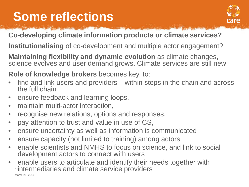# **Some reflections**

![](_page_11_Picture_1.jpeg)

#### **Co-developing climate information products or climate services?**

**Institutionalising** of co-development and multiple actor engagement?

**Maintaining flexibility and dynamic evolution** as climate changes, science evolves and user demand grows. Climate services are still new -

**Role of knowledge brokers** becomes key, to:

- find and link users and providers within steps in the chain and across the full chain
- ensure feedback and learning loops,
- maintain multi-actor interaction,
- recognise new relations, options and responses,
- pay attention to trust and value in use of CS,
- ensure uncertainty as well as information is communicated
- ensure capacity (not limited to training) among actors
- enable scientists and NMHS to focus on science, and link to social development actors to connect with users
- enable users to articulate and identify their needs together with **uintermediaries and climate service providers** March 21, 2017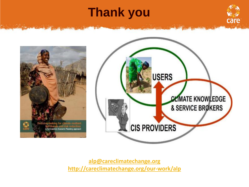# **Thank you**

![](_page_12_Picture_1.jpeg)

![](_page_12_Picture_2.jpeg)

![](_page_12_Picture_3.jpeg)

**[alp@careclimatechange.org](http://careclimatechange.org/our-work/alp) <http://careclimatechange.org/our-work/alp>**